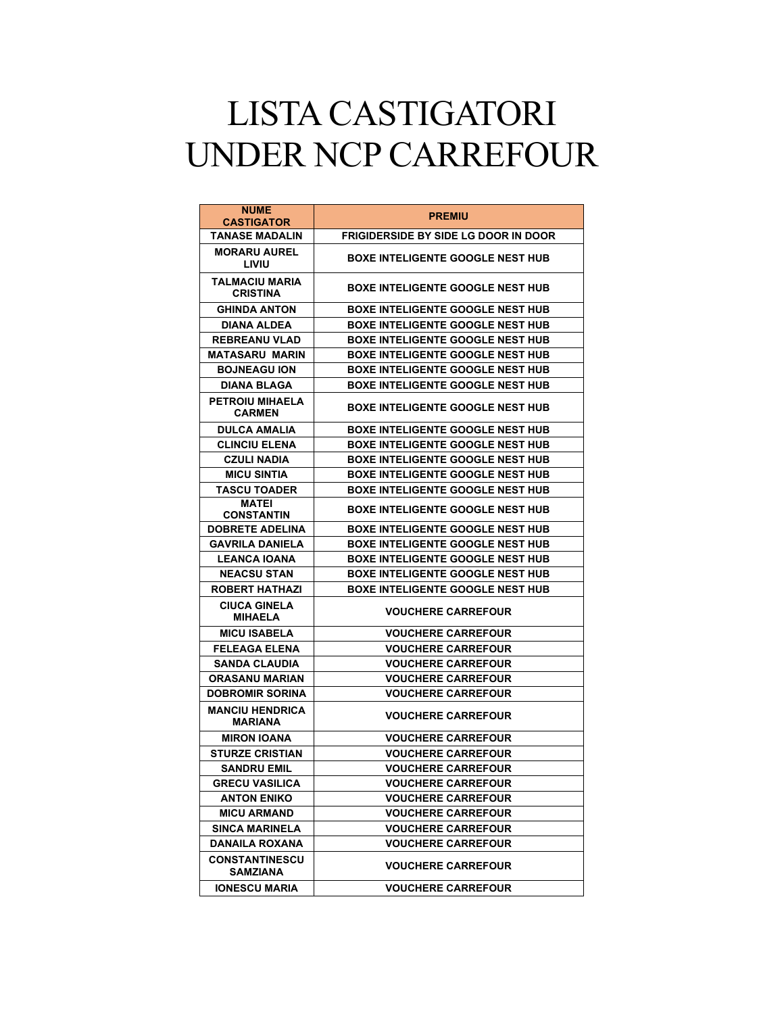## LISTA CASTIGATORI UNDER NCP CARREFOUR

| <b>NUME</b><br><b>CASTIGATOR</b>         | <b>PREMIU</b>                               |
|------------------------------------------|---------------------------------------------|
| <b>TANASE MADALIN</b>                    | <b>FRIGIDERSIDE BY SIDE LG DOOR IN DOOR</b> |
| <b>MORARU AUREL</b><br>LIVIU             | <b>BOXE INTELIGENTE GOOGLE NEST HUB</b>     |
| TALMACIU MARIA<br><b>CRISTINA</b>        | <b>BOXE INTELIGENTE GOOGLE NEST HUB</b>     |
| <b>GHINDA ANTON</b>                      | <b>BOXE INTELIGENTE GOOGLE NEST HUB</b>     |
| <b>DIANA ALDEA</b>                       | <b>BOXE INTELIGENTE GOOGLE NEST HUB</b>     |
| <b>REBREANU VLAD</b>                     | <b>BOXE INTELIGENTE GOOGLE NEST HUB</b>     |
| <b>MATASARU MARIN</b>                    | <b>BOXE INTELIGENTE GOOGLE NEST HUB</b>     |
| <b>BOJNEAGU ION</b>                      | <b>BOXE INTELIGENTE GOOGLE NEST HUB</b>     |
| <b>DIANA BLAGA</b>                       | <b>BOXE INTELIGENTE GOOGLE NEST HUB</b>     |
| <b>PETROIU MIHAELA</b><br><b>CARMEN</b>  | <b>BOXE INTELIGENTE GOOGLE NEST HUB</b>     |
| <b>DULCA AMALIA</b>                      | <b>BOXE INTELIGENTE GOOGLE NEST HUB</b>     |
| <b>CLINCIU ELENA</b>                     | <b>BOXE INTELIGENTE GOOGLE NEST HUB</b>     |
| <b>CZULI NADIA</b>                       | <b>BOXE INTELIGENTE GOOGLE NEST HUB</b>     |
| <b>MICU SINTIA</b>                       | <b>BOXE INTELIGENTE GOOGLE NEST HUB</b>     |
| <b>TASCU TOADER</b>                      | <b>BOXE INTELIGENTE GOOGLE NEST HUB</b>     |
| <b>MATEI</b><br><b>CONSTANTIN</b>        | <b>BOXE INTELIGENTE GOOGLE NEST HUB</b>     |
| <b>DOBRETE ADELINA</b>                   | <b>BOXE INTELIGENTE GOOGLE NEST HUB</b>     |
| <b>GAVRILA DANIELA</b>                   | <b>BOXE INTELIGENTE GOOGLE NEST HUB</b>     |
| <b>LEANCA IOANA</b>                      | <b>BOXE INTELIGENTE GOOGLE NEST HUB</b>     |
| <b>NEACSU STAN</b>                       | <b>BOXE INTELIGENTE GOOGLE NEST HUB</b>     |
| <b>ROBERT HATHAZI</b>                    | <b>BOXE INTELIGENTE GOOGLE NEST HUB</b>     |
| <b>CIUCA GINELA</b><br><b>MIHAELA</b>    | <b>VOUCHERE CARREFOUR</b>                   |
| <b>MICU ISABELA</b>                      | <b>VOUCHERE CARREFOUR</b>                   |
| <b>FELEAGA ELENA</b>                     | <b>VOUCHERE CARREFOUR</b>                   |
| <b>SANDA CLAUDIA</b>                     | <b>VOUCHERE CARREFOUR</b>                   |
| <b>ORASANU MARIAN</b>                    | <b>VOUCHERE CARREFOUR</b>                   |
| <b>DOBROMIR SORINA</b>                   | <b>VOUCHERE CARREFOUR</b>                   |
| <b>MANCIU HENDRICA</b><br><b>MARIANA</b> | <b>VOUCHERE CARREFOUR</b>                   |
| <b>MIRON IOANA</b>                       | <b>VOUCHERE CARREFOUR</b>                   |
| <b>STURZE CRISTIAN</b>                   | <b>VOUCHERE CARREFOUR</b>                   |
| <b>SANDRU EMIL</b>                       | <b>VOUCHERE CARREFOUR</b>                   |
| <b>GRECU VASILICA</b>                    | <b>VOUCHERE CARREFOUR</b>                   |
| <b>ANTON ENIKO</b>                       | <b>VOUCHERE CARREFOUR</b>                   |
| <b>MICU ARMAND</b>                       | <b>VOUCHERE CARREFOUR</b>                   |
| <b>SINCA MARINELA</b>                    | <b>VOUCHERE CARREFOUR</b>                   |
| DANAILA ROXANA                           | <b>VOUCHERE CARREFOUR</b>                   |
| <b>CONSTANTINESCU</b><br>SAMZIANA        | <b>VOUCHERE CARREFOUR</b>                   |
| <b>IONESCU MARIA</b>                     | <b>VOUCHERE CARREFOUR</b>                   |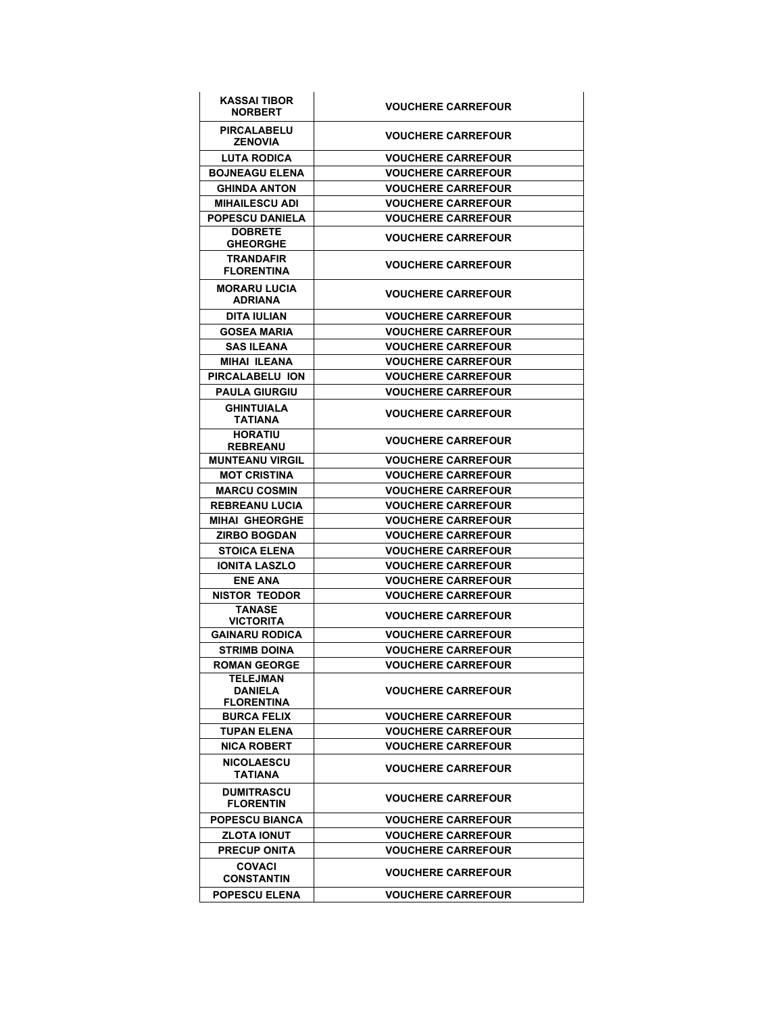| KASSAI TIBOR<br><b>NORBERT</b>                  | <b>VOUCHERE CARREFOUR</b> |
|-------------------------------------------------|---------------------------|
| <b>PIRCALABELU</b><br><b>ZENOVIA</b>            | <b>VOUCHERE CARREFOUR</b> |
| <b>LUTA RODICA</b>                              | <b>VOUCHERE CARREFOUR</b> |
| <b>BOJNEAGU ELENA</b>                           | <b>VOUCHERE CARREFOUR</b> |
| <b>GHINDA ANTON</b>                             | <b>VOUCHERE CARREFOUR</b> |
| <b>MIHAILESCU ADI</b>                           | <b>VOUCHERE CARREFOUR</b> |
| POPESCU DANIELA                                 | <b>VOUCHERE CARREFOUR</b> |
| <b>DOBRETE</b><br><b>GHEORGHE</b>               | <b>VOUCHERE CARREFOUR</b> |
| <b>TRANDAFIR</b><br><b>FLORENTINA</b>           | <b>VOUCHERE CARREFOUR</b> |
| <b>MORARU LUCIA</b><br><b>ADRIANA</b>           | <b>VOUCHERE CARREFOUR</b> |
| DITA IULIAN                                     | <b>VOUCHERE CARREFOUR</b> |
| <b>GOSEA MARIA</b>                              | <b>VOUCHERE CARREFOUR</b> |
| <b>SAS ILEANA</b>                               | <b>VOUCHERE CARREFOUR</b> |
| <b>MIHAI ILEANA</b>                             | <b>VOUCHERE CARREFOUR</b> |
| PIRCALABELU ION                                 | <b>VOUCHERE CARREFOUR</b> |
| <b>PAULA GIURGIU</b>                            | <b>VOUCHERE CARREFOUR</b> |
| <b>GHINTUIALA</b><br><b>TATIANA</b>             | <b>VOUCHERE CARREFOUR</b> |
| <b>HORATIU</b><br><b>REBREANU</b>               | <b>VOUCHERE CARREFOUR</b> |
| <b>MUNTEANU VIRGIL</b>                          | <b>VOUCHERE CARREFOUR</b> |
| <b>MOT CRISTINA</b>                             | <b>VOUCHERE CARREFOUR</b> |
| <b>MARCU COSMIN</b>                             | <b>VOUCHERE CARREFOUR</b> |
| <b>REBREANU LUCIA</b>                           | <b>VOUCHERE CARREFOUR</b> |
| <b>MIHAI GHEORGHE</b>                           | <b>VOUCHERE CARREFOUR</b> |
| <b>ZIRBO BOGDAN</b>                             | <b>VOUCHERE CARREFOUR</b> |
| <b>STOICA ELENA</b>                             | <b>VOUCHERE CARREFOUR</b> |
| <b>IONITA LASZLO</b>                            | <b>VOUCHERE CARREFOUR</b> |
| <b>ENE ANA</b>                                  | <b>VOUCHERE CARREFOUR</b> |
| <b>NISTOR TEODOR</b>                            | <b>VOUCHERE CARREFOUR</b> |
| <b>TANASE</b><br>VICTORITA                      | <b>VOUCHERE CARREFOUR</b> |
| <b>GAINARU RODICA</b>                           | <b>VOUCHERE CARREFOUR</b> |
| <b>STRIMB DOINA</b>                             | <b>VOUCHERE CARREFOUR</b> |
| <b>ROMAN GEORGE</b>                             | <b>VOUCHERE CARREFOUR</b> |
| TELEJMAN<br><b>DANIELA</b><br><b>FLORENTINA</b> | <b>VOUCHERE CARREFOUR</b> |
| <b>BURCA FELIX</b>                              | <b>VOUCHERE CARREFOUR</b> |
| <b>TUPAN ELENA</b>                              | <b>VOUCHERE CARREFOUR</b> |
| <b>NICA ROBERT</b>                              | <b>VOUCHERE CARREFOUR</b> |
| <b>NICOLAESCU</b><br><b>TATIANA</b>             | <b>VOUCHERE CARREFOUR</b> |
| <b>DUMITRASCU</b><br><b>FLORENTIN</b>           | <b>VOUCHERE CARREFOUR</b> |
| <b>POPESCU BIANCA</b>                           | <b>VOUCHERE CARREFOUR</b> |
| <b>ZLOTA IONUT</b>                              | <b>VOUCHERE CARREFOUR</b> |
| PRECUP ONITA                                    | <b>VOUCHERE CARREFOUR</b> |
| <b>COVACI</b><br><b>CONSTANTIN</b>              | <b>VOUCHERE CARREFOUR</b> |
| <b>POPESCU ELENA</b>                            | <b>VOUCHERE CARREFOUR</b> |
|                                                 |                           |